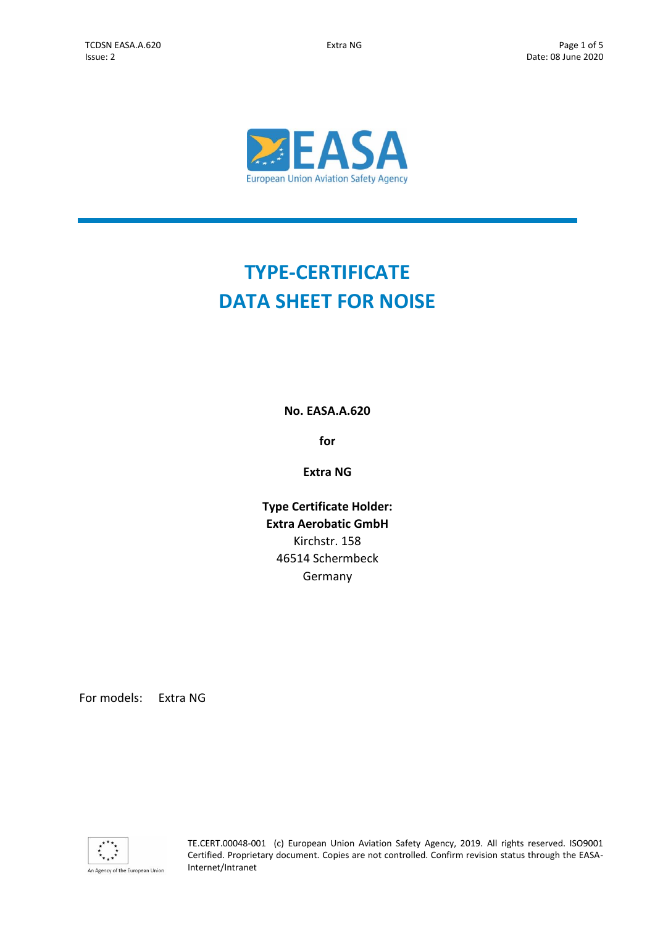

# **TYPE-CERTIFICATE DATA SHEET FOR NOISE**

**No. EASA.A.620**

**for**

**Extra NG**

**Type Certificate Holder: Extra Aerobatic GmbH** Kirchstr. 158 46514 Schermbeck Germany

For models: Extra NG



TE.CERT.00048-001 (c) European Union Aviation Safety Agency, 2019. All rights reserved. ISO9001 Certified. Proprietary document. Copies are not controlled. Confirm revision status through the EASA-Internet/Intranet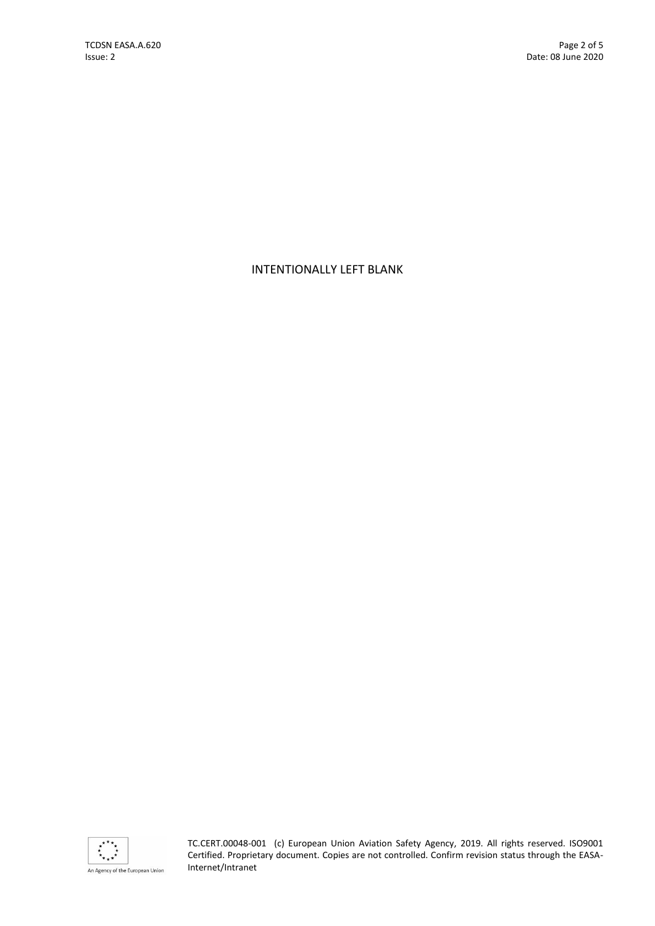## INTENTIONALLY LEFT BLANK



TC.CERT.00048-001 (c) European Union Aviation Safety Agency, 2019. All rights reserved. ISO9001 Certified. Proprietary document. Copies are not controlled. Confirm revision status through the EASA-Internet/Intranet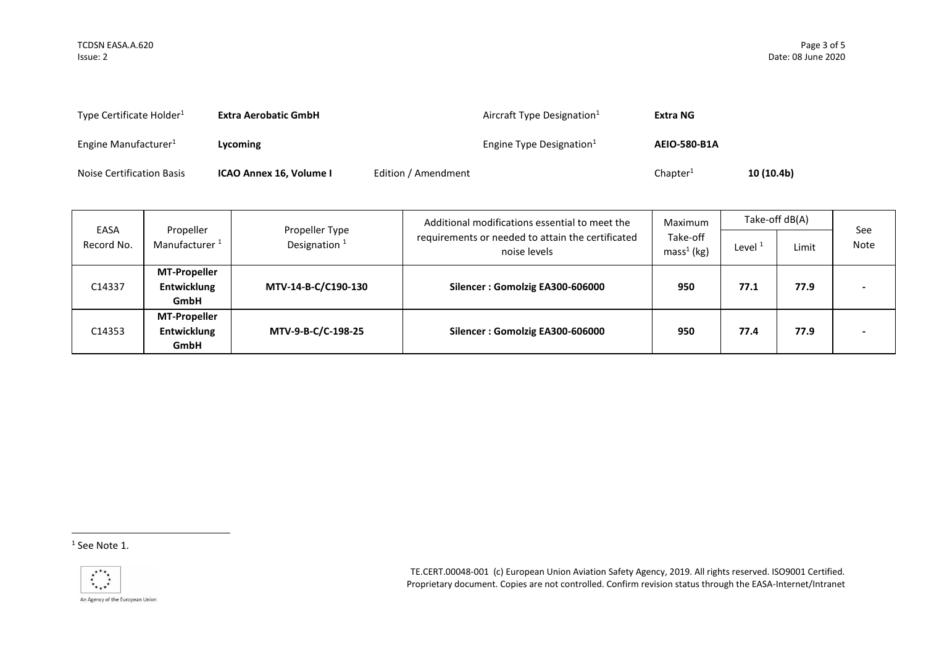| Type Certificate Holder <sup>1</sup> | <b>Extra Aerobatic GmbH</b> |                     | Aircraft Type Designation <sup>1</sup> | Extra NG             |           |
|--------------------------------------|-----------------------------|---------------------|----------------------------------------|----------------------|-----------|
| Engine Manufacturer <sup>1</sup>     | Lycoming                    |                     | Engine Type Designation <sup>1</sup>   | <b>AEIO-580-B1A</b>  |           |
| Noise Certification Basis            | ICAO Annex 16, Volume I     | Edition / Amendment |                                        | Chapter <sup>1</sup> | 10(10.4b) |

| EASA<br>Record No. | Propeller<br>Manufacturer <sup>1</sup>            | Propeller Type<br>Designation $1$ | Additional modifications essential to meet the                    | Maximum<br>Take-off<br>$mass1$ (kg) | Take-off dB(A) |       |             |
|--------------------|---------------------------------------------------|-----------------------------------|-------------------------------------------------------------------|-------------------------------------|----------------|-------|-------------|
|                    |                                                   |                                   | requirements or needed to attain the certificated<br>noise levels |                                     | Level $1$      | Limit | See<br>Note |
| C14337             | <b>MT-Propeller</b><br><b>Entwicklung</b><br>GmbH | MTV-14-B-C/C190-130               | Silencer: Gomolzig EA300-606000                                   | 950                                 | 77.1           | 77.9  |             |
| C14353             | <b>MT-Propeller</b><br><b>Entwicklung</b><br>GmbH | MTV-9-B-C/C-198-25                | Silencer: Gomolzig EA300-606000                                   | 950                                 | 77.4           | 77.9  |             |

1 See Note 1.

1



TE.CERT.00048-001 (c) European Union Aviation Safety Agency, 2019. All rights reserved. ISO9001 Certified. Proprietary document. Copies are not controlled. Confirm revision status through the EASA-Internet/Intranet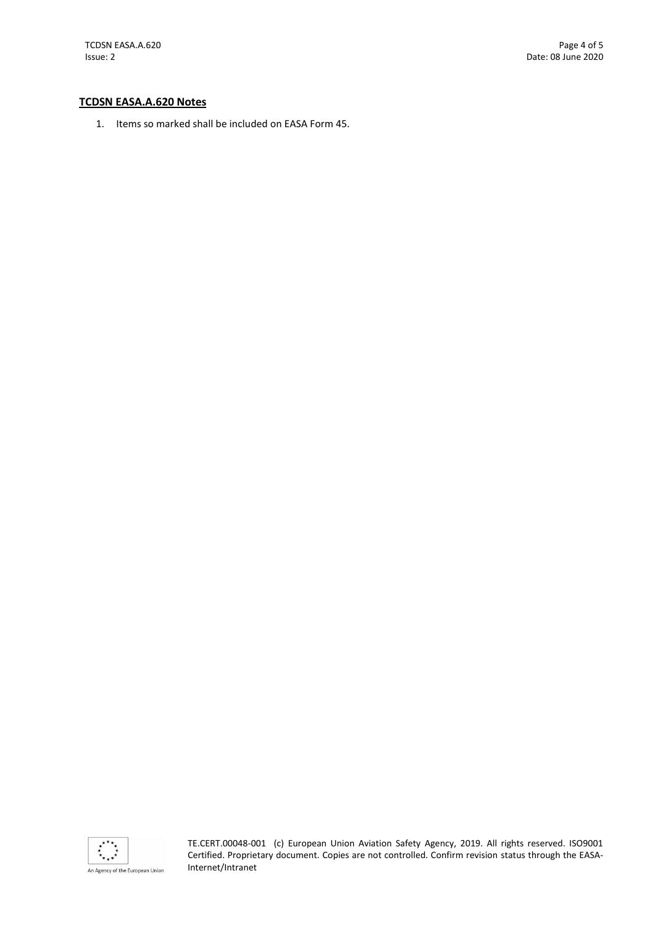TCDSN EASA.A.620 Page 4 of 5<br>Issue: 2 Date: 08 June 2020

### **TCDSN EASA.A.620 Notes**

1. Items so marked shall be included on EASA Form 45.



TE.CERT.00048-001 (c) European Union Aviation Safety Agency, 2019. All rights reserved. ISO9001 Certified. Proprietary document. Copies are not controlled. Confirm revision status through the EASA-Internet/Intranet